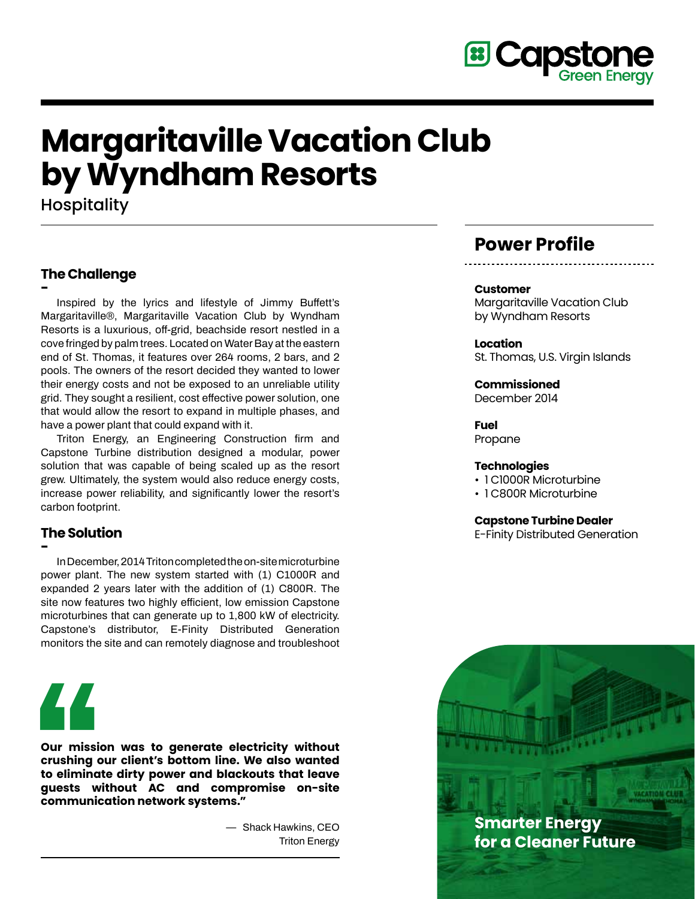

# **Margaritaville Vacation Club by Wyndham Resorts**

**Hospitality** 

# **The Challenge**

**- Inspired by the lyrics and lifestyle of Jimmy Buffett's Margaritaville®, Margaritaville Vacation Club by Wyndham Resorts is a luxurious, off-grid, beachside resort nestled in a cove fringed by palm trees. Located on Water Bay at the eastern end of St. Thomas, it features over 264 rooms, 2 bars, and 2 pools. The owners of the resort decided they wanted to lower their energy costs and not be exposed to an unreliable utility grid. They sought a resilient, cost effective power solution, one that would allow the resort to expand in multiple phases, and have a power plant that could expand with it.** 

 **Triton Energy, an Engineering Construction firm and Capstone Turbine distribution designed a modular, power solution that was capable of being scaled up as the resort grew. Ultimately, the system would also reduce energy costs, increase power reliability, and significantly lower the resort's carbon footprint.**

# **The Solution**

**- InDecember,2014Tritoncompletedtheon-sitemicroturbine power plant. The new system started with (1) C1000R and expanded 2 years later with the addition of (1) C800R. The site now features two highly efficient, low emission Capstone microturbines that can generate up to 1,800 kW of electricity. Capstone's distributor, E-Finity Distributed Generation monitors the site and can remotely diagnose and troubleshoot** 



**Our mission was to generate electricity without crushing our client's bottom line. We also wanted to eliminate dirty power and blackouts that leave guests without AC and compromise on-site communication network systems."**

> **— Shack Hawkins, CEO Triton Energy**

# **Power Profile**

#### **Customer**

Margaritaville Vacation Club by Wyndham Resorts

**Location** St. Thomas, U.S. Virgin Islands

**Commissioned** December 2014

**Fuel** Propane

#### **Technologies**

- 1 C1000R Microturbine
- 1 C800R Microturbine

#### **Capstone Turbine Dealer**

E-Finity Distributed Generation